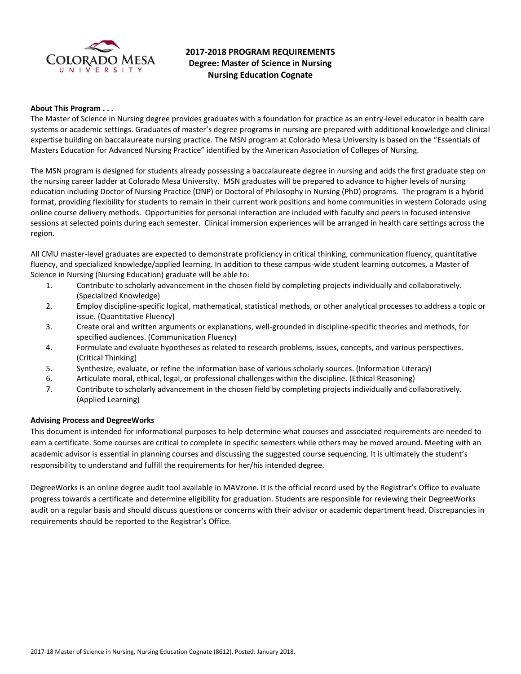

# **2017-2018 PROGRAM REQUIREMENTS Degree: Master of Science in Nursing Nursing Education Cognate**

### **About This Program . . .**

The Master of Science in Nursing degree provides graduates with a foundation for practice as an entry-level educator in health care systems or academic settings. Graduates of master's degree programs in nursing are prepared with additional knowledge and clinical expertise building on baccalaureate nursing practice. The MSN program at Colorado Mesa University is based on the "Essentials of Masters Education for Advanced Nursing Practice" identified by the American Association of Colleges of Nursing.

The MSN program is designed for students already possessing a baccalaureate degree in nursing and adds the first graduate step on the nursing career ladder at Colorado Mesa University. MSN graduates will be prepared to advance to higher levels of nursing education including Doctor of Nursing Practice (DNP) or Doctoral of Philosophy in Nursing (PhD) programs. The program is a hybrid format, providing flexibility for students to remain in their current work positions and home communities in western Colorado using online course delivery methods. Opportunities for personal interaction are included with faculty and peers in focused intensive sessions at selected points during each semester. Clinical immersion experiences will be arranged in health care settings across the region.

All CMU master-level graduates are expected to demonstrate proficiency in critical thinking, communication fluency, quantitative fluency, and specialized knowledge/applied learning. In addition to these campus-wide student learning outcomes, a Master of Science in Nursing (Nursing Education) graduate will be able to:

- 1. Contribute to scholarly advancement in the chosen field by completing projects individually and collaboratively. (Specialized Knowledge)
- 2. Employ discipline-specific logical, mathematical, statistical methods, or other analytical processes to address a topic or issue. (Quantitative Fluency)
- 3. Create oral and written arguments or explanations, well-grounded in discipline-specific theories and methods, for specified audiences. (Communication Fluency)
- 4. Formulate and evaluate hypotheses as related to research problems, issues, concepts, and various perspectives. (Critical Thinking)
- 5. Synthesize, evaluate, or refine the information base of various scholarly sources. (Information Literacy)
- 6. Articulate moral, ethical, legal, or professional challenges within the discipline. (Ethical Reasoning)
- 7. Contribute to scholarly advancement in the chosen field by completing projects individually and collaboratively. (Applied Learning)

### **Advising Process and DegreeWorks**

This document is intended for informational purposes to help determine what courses and associated requirements are needed to earn a certificate. Some courses are critical to complete in specific semesters while others may be moved around. Meeting with an academic advisor is essential in planning courses and discussing the suggested course sequencing. It is ultimately the student's responsibility to understand and fulfill the requirements for her/his intended degree.

DegreeWorks is an online degree audit tool available in MAVzone. It is the official record used by the Registrar's Office to evaluate progress towards a certificate and determine eligibility for graduation. Students are responsible for reviewing their DegreeWorks audit on a regular basis and should discuss questions or concerns with their advisor or academic department head. Discrepancies in requirements should be reported to the Registrar's Office.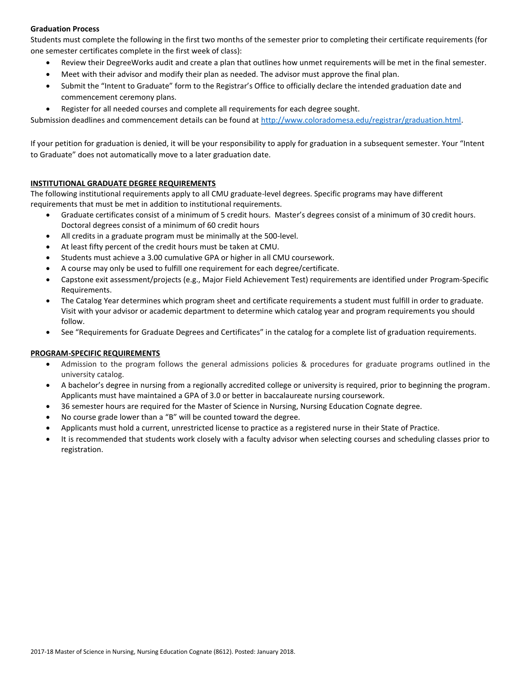# **Graduation Process**

Students must complete the following in the first two months of the semester prior to completing their certificate requirements (for one semester certificates complete in the first week of class):

- Review their DegreeWorks audit and create a plan that outlines how unmet requirements will be met in the final semester.
- Meet with their advisor and modify their plan as needed. The advisor must approve the final plan.
- Submit the "Intent to Graduate" form to the Registrar's Office to officially declare the intended graduation date and commencement ceremony plans.
- Register for all needed courses and complete all requirements for each degree sought.

Submission deadlines and commencement details can be found at [http://www.coloradomesa.edu/registrar/graduation.html.](http://www.coloradomesa.edu/registrar/graduation.html)

If your petition for graduation is denied, it will be your responsibility to apply for graduation in a subsequent semester. Your "Intent to Graduate" does not automatically move to a later graduation date.

## **INSTITUTIONAL GRADUATE DEGREE REQUIREMENTS**

The following institutional requirements apply to all CMU graduate-level degrees. Specific programs may have different requirements that must be met in addition to institutional requirements.

- Graduate certificates consist of a minimum of 5 credit hours. Master's degrees consist of a minimum of 30 credit hours. Doctoral degrees consist of a minimum of 60 credit hours
- All credits in a graduate program must be minimally at the 500-level.
- At least fifty percent of the credit hours must be taken at CMU.
- Students must achieve a 3.00 cumulative GPA or higher in all CMU coursework.
- A course may only be used to fulfill one requirement for each degree/certificate.
- Capstone exit assessment/projects (e.g., Major Field Achievement Test) requirements are identified under Program-Specific Requirements.
- The Catalog Year determines which program sheet and certificate requirements a student must fulfill in order to graduate. Visit with your advisor or academic department to determine which catalog year and program requirements you should follow.
- See "Requirements for Graduate Degrees and Certificates" in the catalog for a complete list of graduation requirements.

### **PROGRAM-SPECIFIC REQUIREMENTS**

- Admission to the program follows the general admissions policies & procedures for graduate programs outlined in the university catalog.
- A bachelor's degree in nursing from a regionally accredited college or university is required, prior to beginning the program. Applicants must have maintained a GPA of 3.0 or better in baccalaureate nursing coursework.
- 36 semester hours are required for the Master of Science in Nursing, Nursing Education Cognate degree.
- No course grade lower than a "B" will be counted toward the degree.
- Applicants must hold a current, unrestricted license to practice as a registered nurse in their State of Practice.
- It is recommended that students work closely with a faculty advisor when selecting courses and scheduling classes prior to registration.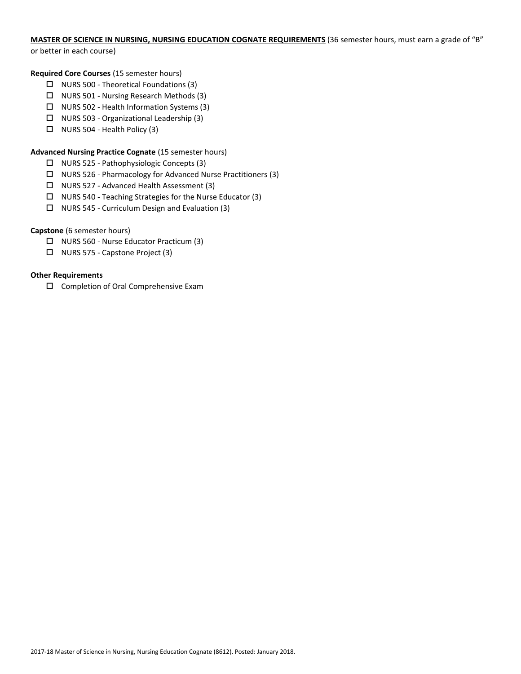# **MASTER OF SCIENCE IN NURSING, NURSING EDUCATION COGNATE REQUIREMENTS** (36 semester hours, must earn a grade of "B"

or better in each course)

## **Required Core Courses** (15 semester hours)

- $\Box$  NURS 500 Theoretical Foundations (3)
- $\Box$  NURS 501 Nursing Research Methods (3)
- $\Box$  NURS 502 Health Information Systems (3)
- $\Box$  NURS 503 Organizational Leadership (3)
- $\Box$  NURS 504 Health Policy (3)

# **Advanced Nursing Practice Cognate** (15 semester hours)

- NURS 525 Pathophysiologic Concepts (3)
- $\Box$  NURS 526 Pharmacology for Advanced Nurse Practitioners (3)
- □ NURS 527 Advanced Health Assessment (3)
- $\Box$  NURS 540 Teaching Strategies for the Nurse Educator (3)
- $\Box$  NURS 545 Curriculum Design and Evaluation (3)

# **Capstone** (6 semester hours)

- NURS 560 Nurse Educator Practicum (3)
- NURS 575 Capstone Project (3)

# **Other Requirements**

□ Completion of Oral Comprehensive Exam